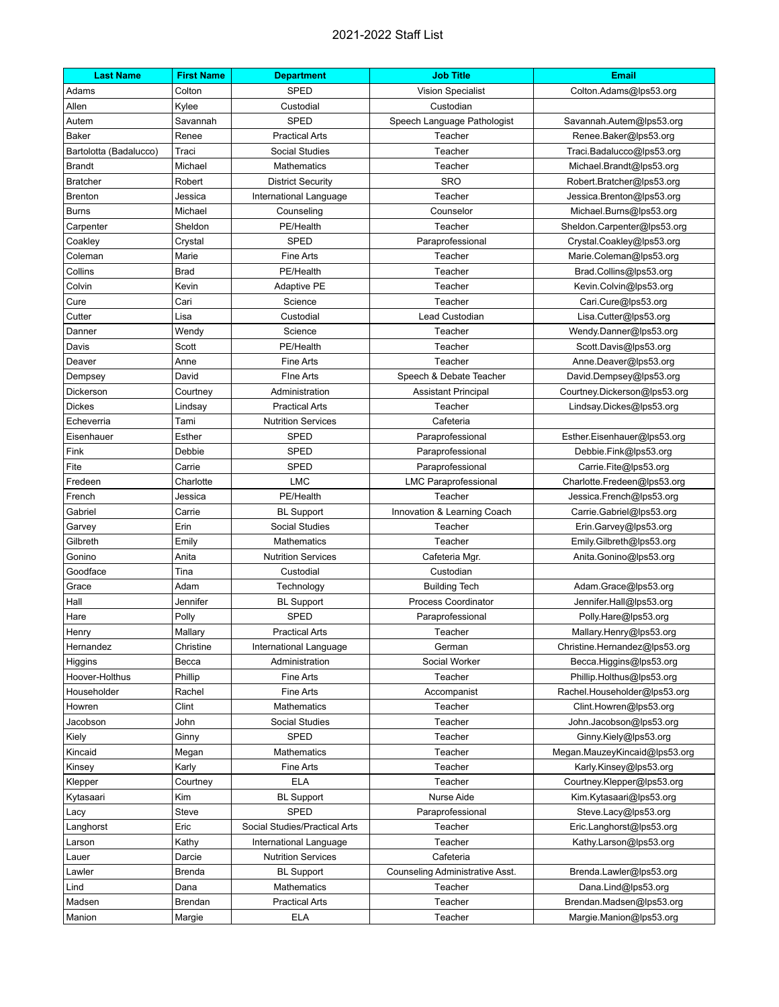## 2021-2022 Staff List

| <b>Last Name</b>       | <b>First Name</b> | <b>Department</b>             | <b>Job Title</b>                | <b>Email</b>                  |
|------------------------|-------------------|-------------------------------|---------------------------------|-------------------------------|
| Adams                  | Colton            | SPED                          | <b>Vision Specialist</b>        | Colton.Adams@lps53.org        |
| Allen                  | Kylee             | Custodial                     | Custodian                       |                               |
| Autem                  | Savannah          | <b>SPED</b>                   | Speech Language Pathologist     | Savannah.Autem@lps53.org      |
| <b>Baker</b>           | Renee             | <b>Practical Arts</b>         | Teacher                         | Renee.Baker@lps53.org         |
| Bartolotta (Badalucco) | Traci             | <b>Social Studies</b>         | Teacher                         | Traci.Badalucco@lps53.org     |
| <b>Brandt</b>          | Michael           | Mathematics                   | Teacher                         | Michael.Brandt@lps53.org      |
| <b>Bratcher</b>        | Robert            | <b>District Security</b>      | <b>SRO</b>                      | Robert.Bratcher@lps53.org     |
| <b>Brenton</b>         | Jessica           | International Language        | Teacher                         | Jessica.Brenton@lps53.org     |
| <b>Burns</b>           | Michael           | Counseling                    | Counselor                       | Michael.Burns@lps53.org       |
| Carpenter              | Sheldon           | PE/Health                     | Teacher                         | Sheldon.Carpenter@lps53.org   |
| Coakley                | Crystal           | <b>SPED</b>                   | Paraprofessional                | Crystal.Coakley@lps53.org     |
| Coleman                | Marie             | <b>Fine Arts</b>              | Teacher                         | Marie.Coleman@lps53.org       |
| Collins                | <b>Brad</b>       | PE/Health                     | Teacher                         | Brad.Collins@lps53.org        |
| Colvin                 | Kevin             | <b>Adaptive PE</b>            | Teacher                         | Kevin.Colvin@lps53.org        |
| Cure                   | Cari              | Science                       | Teacher                         | Cari.Cure@lps53.org           |
| Cutter                 | Lisa              | Custodial                     | Lead Custodian                  | Lisa.Cutter@lps53.org         |
| Danner                 | Wendy             | Science                       | Teacher                         | Wendy.Danner@lps53.org        |
| Davis                  | Scott             | PE/Health                     | Teacher                         | Scott.Davis@lps53.org         |
| Deaver                 | Anne              | <b>Fine Arts</b>              | Teacher                         | Anne.Deaver@lps53.org         |
| Dempsey                | David             | Fine Arts                     | Speech & Debate Teacher         | David.Dempsey@lps53.org       |
| Dickerson              | Courtney          | Administration                | <b>Assistant Principal</b>      | Courtney.Dickerson@lps53.org  |
| <b>Dickes</b>          | Lindsay           | <b>Practical Arts</b>         | Teacher                         | Lindsay.Dickes@lps53.org      |
| Echeverria             | Tami              | <b>Nutrition Services</b>     | Cafeteria                       |                               |
| Eisenhauer             | Esther            | <b>SPED</b>                   | Paraprofessional                | Esther.Eisenhauer@lps53.org   |
| Fink                   | Debbie            | <b>SPED</b>                   | Paraprofessional                | Debbie.Fink@lps53.org         |
| Fite                   | Carrie            | <b>SPED</b>                   | Paraprofessional                | Carrie.Fite@lps53.org         |
| Fredeen                | Charlotte         | <b>LMC</b>                    | <b>LMC Paraprofessional</b>     | Charlotte.Fredeen@lps53.org   |
| French                 | Jessica           | PE/Health                     | Teacher                         | Jessica.French@lps53.org      |
| Gabriel                | Carrie            | <b>BL Support</b>             | Innovation & Learning Coach     | Carrie.Gabriel@lps53.org      |
| Garvey                 | Erin              | Social Studies                | Teacher                         | Erin.Garvey@lps53.org         |
| Gilbreth               | Emily             | Mathematics                   | Teacher                         | Emily.Gilbreth@lps53.org      |
| Gonino                 | Anita             | <b>Nutrition Services</b>     | Cafeteria Mgr.                  | Anita.Gonino@lps53.org        |
| Goodface               | Tina              | Custodial                     | Custodian                       |                               |
| Grace                  | Adam              | Technology                    | <b>Building Tech</b>            | Adam.Grace@lps53.org          |
| Hall                   | Jennifer          | <b>BL Support</b>             | <b>Process Coordinator</b>      | Jennifer.Hall@lps53.org       |
| Hare                   | Polly             | <b>SPED</b>                   | Paraprofessional                | Polly.Hare@lps53.org          |
| Henry                  | Mallary           | <b>Practical Arts</b>         | Teacher                         | Mallary.Henry@lps53.org       |
| Hernandez              | Christine         | International Language        | German                          | Christine.Hernandez@lps53.org |
| Higgins                | Becca             | Administration                | Social Worker                   | Becca.Higgins@lps53.org       |
| Hoover-Holthus         | Phillip           | Fine Arts                     | Teacher                         | Phillip.Holthus@lps53.org     |
| Householder            | Rachel            | Fine Arts                     | Accompanist                     | Rachel.Householder@lps53.org  |
| Howren                 | Clint             | Mathematics                   | Teacher                         | Clint.Howren@lps53.org        |
| Jacobson               | John              | Social Studies                | Teacher                         | John.Jacobson@lps53.org       |
| Kiely                  | Ginny             | <b>SPED</b>                   | Teacher                         | Ginny.Kiely@lps53.org         |
| Kincaid                | Megan             | Mathematics                   | Teacher                         | Megan.MauzeyKincaid@lps53.org |
| Kinsey                 | Karly             | <b>Fine Arts</b>              | Teacher                         | Karly.Kinsey@lps53.org        |
| Klepper                | Courtney          | <b>ELA</b>                    | Teacher                         | Courtney.Klepper@lps53.org    |
| Kytasaari              | Kim               | <b>BL Support</b>             | Nurse Aide                      | Kim.Kytasaari@lps53.org       |
| Lacy                   | Steve             | SPED                          | Paraprofessional                | Steve.Lacy@lps53.org          |
| Langhorst              | Eric              | Social Studies/Practical Arts | Teacher                         | Eric.Langhorst@lps53.org      |
| Larson                 | Kathy             | International Language        | Teacher                         | Kathy.Larson@lps53.org        |
| Lauer                  | Darcie            | <b>Nutrition Services</b>     | Cafeteria                       |                               |
| Lawler                 | <b>Brenda</b>     | <b>BL Support</b>             | Counseling Administrative Asst. | Brenda.Lawler@lps53.org       |
| Lind                   | Dana              | Mathematics                   | Teacher                         | Dana.Lind@lps53.org           |
| Madsen                 | Brendan           | <b>Practical Arts</b>         | Teacher                         | Brendan.Madsen@lps53.org      |
| Manion                 | Margie            | ELA                           | Teacher                         | Margie.Manion@lps53.org       |